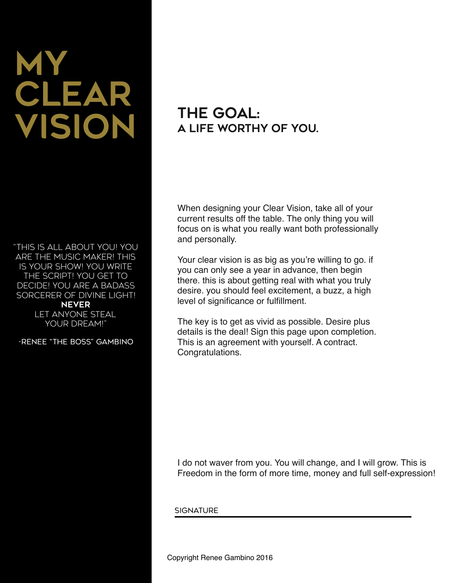# My CLEAR Vision

"This is all about you! YOU are the music maker! This is YOUR show! YOU write the script! YOU get to decide! YOU are a badass sorcerer of divine light!

NEVER Let anyone steal YOUR DREAM!"

-Renee "The Boss" Gambino

### THE GOAL: a life worthy of you.

When designing your Clear Vision, take all of your current results off the table. The only thing you will focus on is what you really want both professionally and personally.

Your clear vision is as big as you're willing to go. if you can only see a year in advance, then begin there. this is about getting real with what you truly desire. you should feel excitement, a buzz, a high level of significance or fulfillment.

The key is to get as vivid as possible. Desire plus details is the deal! Sign this page upon completion. This is an agreement with yourself. A contract. Congratulations.

I do not waver from you. You will change, and I will grow. This is Freedom in the form of more time, money and full self-expression!

**SIGNATURE**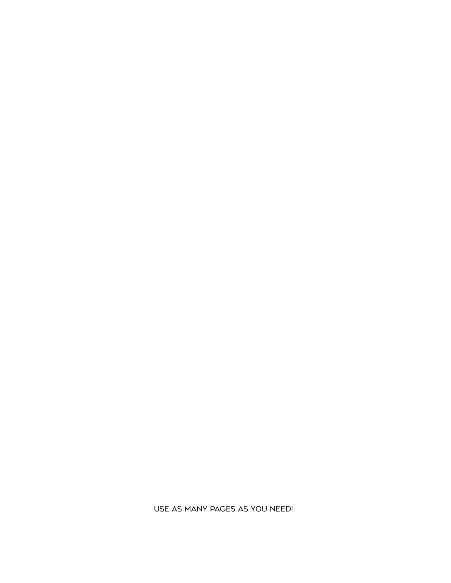Use as many pages as you need!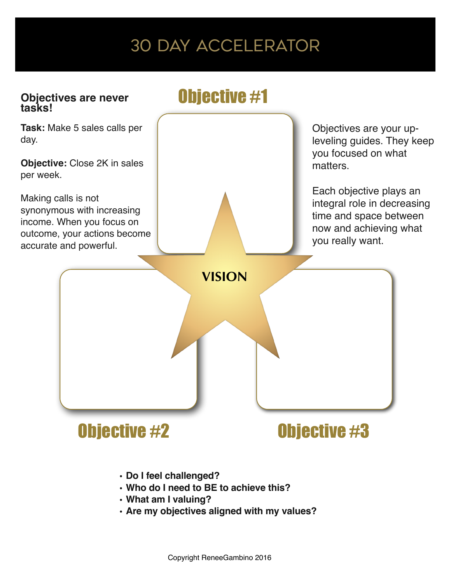# 30 Day Accelerator

#### **Objectives are never tasks!**

# Objective #1

**Task:** Make 5 sales calls per day.

**Objective:** Close 2K in sales per week.

Making calls is not synonymous with increasing income. When you focus on outcome, your actions become accurate and powerful.

Objectives are your upleveling guides. They keep you focused on what matters.

Each objective plays an integral role in decreasing time and space between now and achieving what you really want.

# **VISION**

# Objective #2 0bjective #3

- **• Do I feel challenged?**
- **• Who do I need to BE to achieve this?**
- **• What am I valuing?**
- **• Are my objectives aligned with my values?**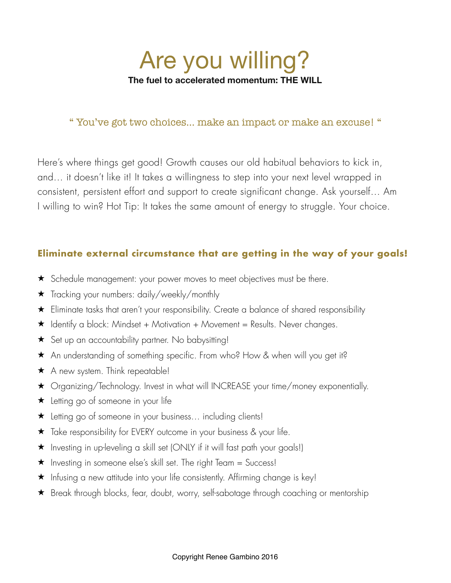

#### " You've got two choices… make an impact or make an excuse! "

Here's where things get good! Growth causes our old habitual behaviors to kick in, and… it doesn't like it! It takes a willingness to step into your next level wrapped in consistent, persistent effort and support to create significant change. Ask yourself… Am I willing to win? Hot Tip: It takes the same amount of energy to struggle. Your choice.

#### **Eliminate external circumstance that are getting in the way of your goals!**

- ★ Schedule management: your power moves to meet objectives must be there.
- ★ Tracking your numbers: daily/weekly/monthly
- ★ Eliminate tasks that aren't your responsibility. Create a balance of shared responsibility
- $\star$  Identify a block: Mindset + Motivation + Movement = Results. Never changes.
- ★ Set up an accountability partner. No babysitting!
- ★ An understanding of something specific. From who? How & when will you get it?
- ★ A new system. Think repeatable!
- ★ Organizing/Technology. Invest in what will INCREASE your time/money exponentially.
- ★ Letting go of someone in your life
- ★ Letting go of someone in your business… including clients!
- ★ Take responsibility for EVERY outcome in your business & your life.
- ★ Investing in up-leveling a skill set (ONLY if it will fast path your goals!)
- ★ Investing in someone else's skill set. The right Team = Success!
- ★ Infusing a new attitude into your life consistently. Affirming change is key!
- ★ Break through blocks, fear, doubt, worry, self-sabotage through coaching or mentorship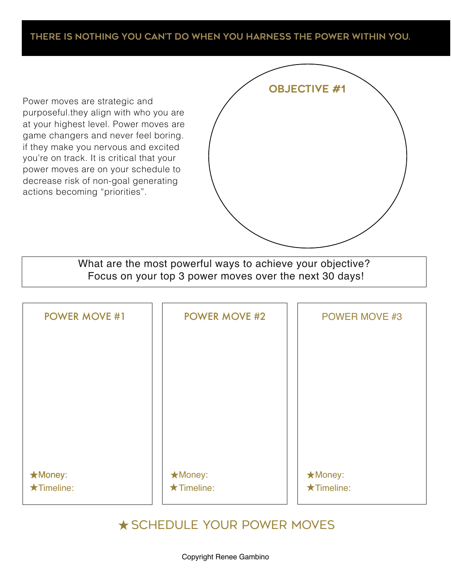#### There is nothing you can't do when you harness the power within you.

Power moves are strategic and purposeful.they align with who you are at your highest level. Power moves are game changers and never feel boring. if they make you nervous and excited you're on track. It is critical that your power moves are on your schedule to decrease risk of non-goal generating actions becoming "priorities".

| <b>OBJECTIVE #1</b> |  |
|---------------------|--|
|                     |  |
|                     |  |
|                     |  |
|                     |  |
|                     |  |
|                     |  |
|                     |  |
|                     |  |

What are the most powerful ways to achieve your objective? Focus on your top 3 power moves over the next 30 days!

| <b>POWER MOVE #1</b> | <b>POWER MOVE #2</b> | <b>POWER MOVE #3</b> |
|----------------------|----------------------|----------------------|
|                      |                      |                      |
|                      |                      |                      |
|                      |                      |                      |
|                      |                      |                      |
|                      |                      |                      |
| <b>*Money:</b>       | <b>★Money:</b>       | ★Money:              |
| $\star$ Timeline:    | $\star$ Timeline:    | $\star$ Timeline:    |

#### ★Schedule your power moves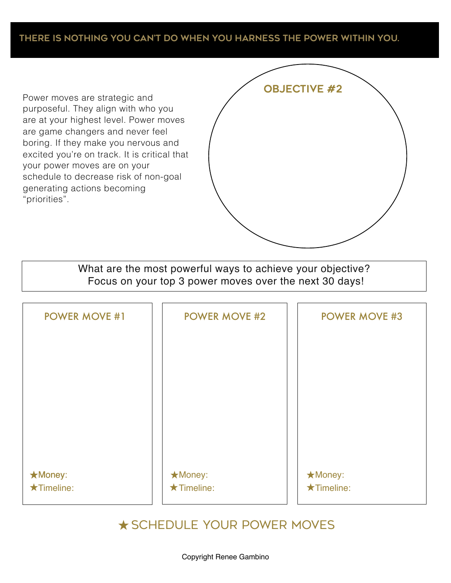#### There is nothing you can't do when you harness the power within you.

Power moves are strategic and purposeful. They align with who you are at your highest level. Power moves are game changers and never feel boring. If they make you nervous and excited you're on track. It is critical that your power moves are on your schedule to decrease risk of non-goal generating actions becoming "priorities".

| <b>OBJECTIVE #2</b> |  |
|---------------------|--|
|                     |  |
|                     |  |
|                     |  |
|                     |  |
|                     |  |
|                     |  |
|                     |  |
|                     |  |

What are the most powerful ways to achieve your objective? Focus on your top 3 power moves over the next 30 days!

| <b>POWER MOVE #1</b> | <b>POWER MOVE #2</b> | <b>POWER MOVE #3</b> |
|----------------------|----------------------|----------------------|
|                      |                      |                      |
|                      |                      |                      |
|                      |                      |                      |
|                      |                      |                      |
|                      |                      |                      |
| <b>*Money:</b>       | <b>★Money:</b>       | <b>★Money:</b>       |
| $\star$ Timeline:    | $\star$ Timeline:    | $\star$ Timeline:    |

#### ★Schedule your power moves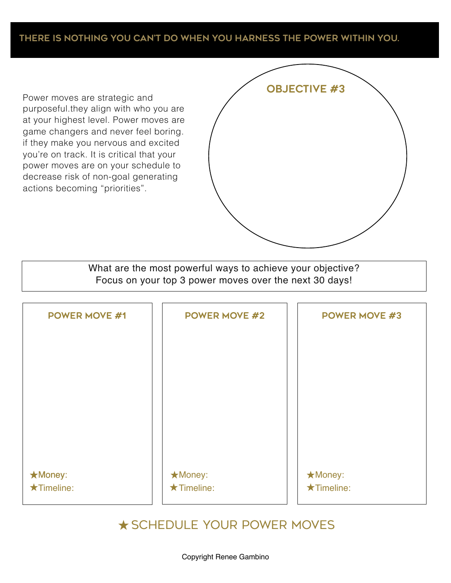#### There is nothing you can't do when you harness the power within you.

Power moves are strategic and purposeful.they align with who you are at your highest level. Power moves are game changers and never feel boring. if they make you nervous and excited you're on track. It is critical that your power moves are on your schedule to decrease risk of non-goal generating actions becoming "priorities".

| <b>OBJECTIVE #3</b> |  |
|---------------------|--|
|                     |  |
|                     |  |
|                     |  |
|                     |  |
|                     |  |
|                     |  |
|                     |  |
|                     |  |

What are the most powerful ways to achieve your objective? Focus on your top 3 power moves over the next 30 days!

| <b>POWER MOVE #1</b> | <b>POWER MOVE #2</b> | <b>POWER MOVE #3</b> |
|----------------------|----------------------|----------------------|
|                      |                      |                      |
|                      |                      |                      |
|                      |                      |                      |
|                      |                      |                      |
|                      |                      |                      |
|                      |                      |                      |
| <b>*Money:</b>       | <b>★Money:</b>       | ★Money:              |
| $\star$ Timeline:    | $\star$ Timeline:    | $\star$ Timeline:    |

#### ★Schedule your power moves